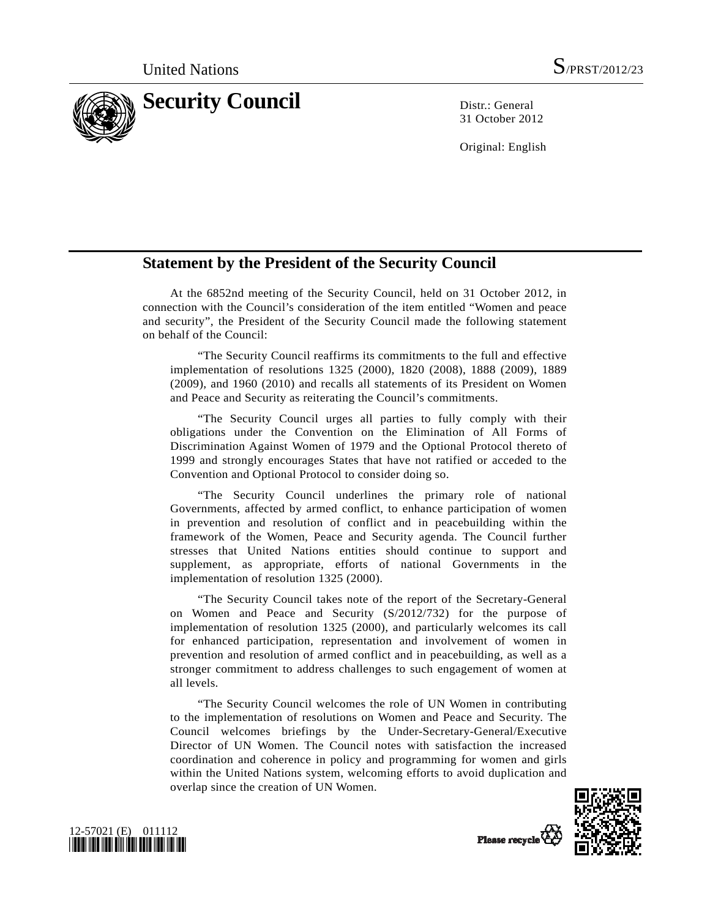

31 October 2012

Original: English

## **Statement by the President of the Security Council**

 At the 6852nd meeting of the Security Council, held on 31 October 2012, in connection with the Council's consideration of the item entitled "Women and peace and security", the President of the Security Council made the following statement on behalf of the Council:

 "The Security Council reaffirms its commitments to the full and effective implementation of resolutions 1325 (2000), 1820 (2008), 1888 (2009), 1889 (2009), and 1960 (2010) and recalls all statements of its President on Women and Peace and Security as reiterating the Council's commitments.

 "The Security Council urges all parties to fully comply with their obligations under the Convention on the Elimination of All Forms of Discrimination Against Women of 1979 and the Optional Protocol thereto of 1999 and strongly encourages States that have not ratified or acceded to the Convention and Optional Protocol to consider doing so.

 "The Security Council underlines the primary role of national Governments, affected by armed conflict, to enhance participation of women in prevention and resolution of conflict and in peacebuilding within the framework of the Women, Peace and Security agenda. The Council further stresses that United Nations entities should continue to support and supplement, as appropriate, efforts of national Governments in the implementation of resolution 1325 (2000).

 "The Security Council takes note of the report of the Secretary-General on Women and Peace and Security (S/2012/732) for the purpose of implementation of resolution 1325 (2000), and particularly welcomes its call for enhanced participation, representation and involvement of women in prevention and resolution of armed conflict and in peacebuilding, as well as a stronger commitment to address challenges to such engagement of women at all levels.

 "The Security Council welcomes the role of UN Women in contributing to the implementation of resolutions on Women and Peace and Security. The Council welcomes briefings by the Under-Secretary-General/Executive Director of UN Women. The Council notes with satisfaction the increased coordination and coherence in policy and programming for women and girls within the United Nations system, welcoming efforts to avoid duplication and overlap since the creation of UN Women.



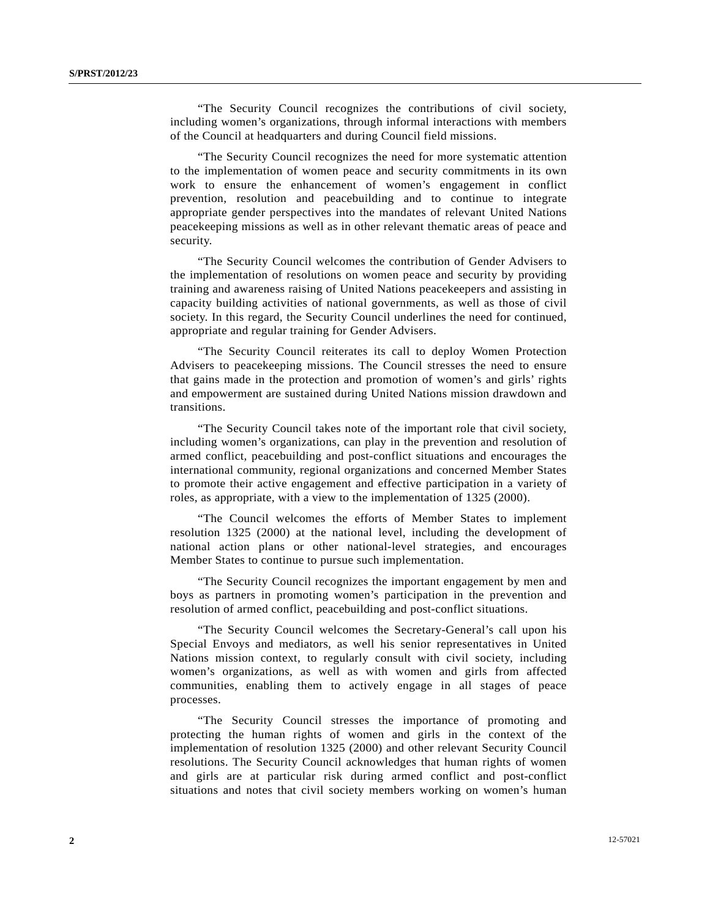"The Security Council recognizes the contributions of civil society, including women's organizations, through informal interactions with members of the Council at headquarters and during Council field missions.

 "The Security Council recognizes the need for more systematic attention to the implementation of women peace and security commitments in its own work to ensure the enhancement of women's engagement in conflict prevention, resolution and peacebuilding and to continue to integrate appropriate gender perspectives into the mandates of relevant United Nations peacekeeping missions as well as in other relevant thematic areas of peace and security.

 "The Security Council welcomes the contribution of Gender Advisers to the implementation of resolutions on women peace and security by providing training and awareness raising of United Nations peacekeepers and assisting in capacity building activities of national governments, as well as those of civil society. In this regard, the Security Council underlines the need for continued, appropriate and regular training for Gender Advisers.

 "The Security Council reiterates its call to deploy Women Protection Advisers to peacekeeping missions. The Council stresses the need to ensure that gains made in the protection and promotion of women's and girls' rights and empowerment are sustained during United Nations mission drawdown and transitions.

 "The Security Council takes note of the important role that civil society, including women's organizations, can play in the prevention and resolution of armed conflict, peacebuilding and post-conflict situations and encourages the international community, regional organizations and concerned Member States to promote their active engagement and effective participation in a variety of roles, as appropriate, with a view to the implementation of 1325 (2000).

 "The Council welcomes the efforts of Member States to implement resolution 1325 (2000) at the national level, including the development of national action plans or other national-level strategies, and encourages Member States to continue to pursue such implementation.

 "The Security Council recognizes the important engagement by men and boys as partners in promoting women's participation in the prevention and resolution of armed conflict, peacebuilding and post-conflict situations.

 "The Security Council welcomes the Secretary-General's call upon his Special Envoys and mediators, as well his senior representatives in United Nations mission context, to regularly consult with civil society, including women's organizations, as well as with women and girls from affected communities, enabling them to actively engage in all stages of peace processes.

 "The Security Council stresses the importance of promoting and protecting the human rights of women and girls in the context of the implementation of resolution 1325 (2000) and other relevant Security Council resolutions. The Security Council acknowledges that human rights of women and girls are at particular risk during armed conflict and post-conflict situations and notes that civil society members working on women's human